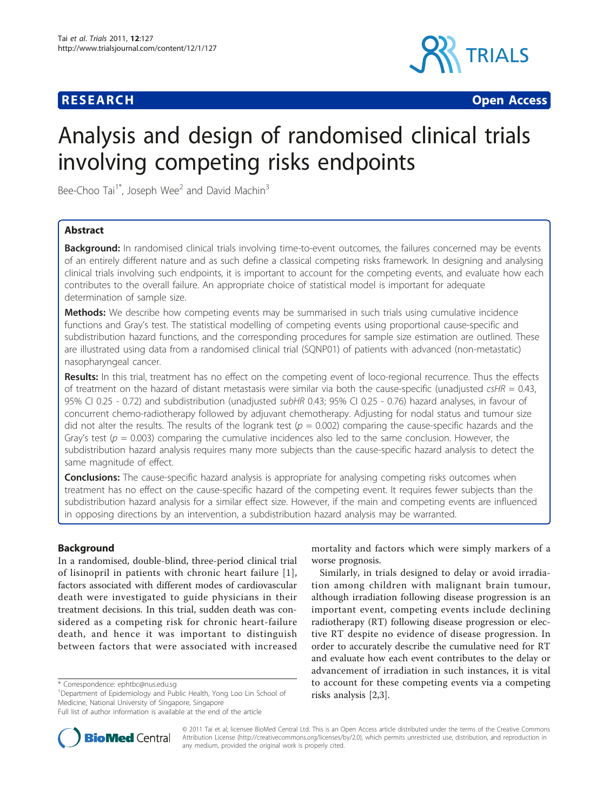# **RESEARCH CONSTRUCTION CONTROL**



# Analysis and design of randomised clinical trials involving competing risks endpoints

Bee-Choo Tai<sup>1\*</sup>, Joseph Wee<sup>2</sup> and David Machin<sup>3</sup>

# Abstract

**Background:** In randomised clinical trials involving time-to-event outcomes, the failures concerned may be events of an entirely different nature and as such define a classical competing risks framework. In designing and analysing clinical trials involving such endpoints, it is important to account for the competing events, and evaluate how each contributes to the overall failure. An appropriate choice of statistical model is important for adequate determination of sample size.

Methods: We describe how competing events may be summarised in such trials using cumulative incidence functions and Gray's test. The statistical modelling of competing events using proportional cause-specific and subdistribution hazard functions, and the corresponding procedures for sample size estimation are outlined. These are illustrated using data from a randomised clinical trial (SQNP01) of patients with advanced (non-metastatic) nasopharyngeal cancer.

Results: In this trial, treatment has no effect on the competing event of loco-regional recurrence. Thus the effects of treatment on the hazard of distant metastasis were similar via both the cause-specific (unadjusted  $csHR = 0.43$ , 95% CI 0.25 - 0.72) and subdistribution (unadjusted subHR 0.43; 95% CI 0.25 - 0.76) hazard analyses, in favour of concurrent chemo-radiotherapy followed by adjuvant chemotherapy. Adjusting for nodal status and tumour size did not alter the results. The results of the logrank test ( $p = 0.002$ ) comparing the cause-specific hazards and the Gray's test ( $p = 0.003$ ) comparing the cumulative incidences also led to the same conclusion. However, the subdistribution hazard analysis requires many more subjects than the cause-specific hazard analysis to detect the same magnitude of effect.

**Conclusions:** The cause-specific hazard analysis is appropriate for analysing competing risks outcomes when treatment has no effect on the cause-specific hazard of the competing event. It requires fewer subjects than the subdistribution hazard analysis for a similar effect size. However, if the main and competing events are influenced in opposing directions by an intervention, a subdistribution hazard analysis may be warranted.

# Background

In a randomised, double-blind, three-period clinical trial of lisinopril in patients with chronic heart failure [[1\]](#page-8-0), factors associated with different modes of cardiovascular death were investigated to guide physicians in their treatment decisions. In this trial, sudden death was considered as a competing risk for chronic heart-failure death, and hence it was important to distinguish between factors that were associated with increased



Similarly, in trials designed to delay or avoid irradiation among children with malignant brain tumour, although irradiation following disease progression is an important event, competing events include declining radiotherapy (RT) following disease progression or elective RT despite no evidence of disease progression. In order to accurately describe the cumulative need for RT and evaluate how each event contributes to the delay or advancement of irradiation in such instances, it is vital to account for these competing events via a competing risks analysis [\[2,3\]](#page-8-0).



© 2011 Tai et al; licensee BioMed Central Ltd. This is an Open Access article distributed under the terms of the Creative Commons Attribution License [\(http://creativecommons.org/licenses/by/2.0](http://creativecommons.org/licenses/by/2.0)), which permits unrestricted use, distribution, and reproduction in any medium, provided the original work is properly cited.

<sup>\*</sup> Correspondence: [ephtbc@nus.edu.sg](mailto:ephtbc@nus.edu.sg)

<sup>&</sup>lt;sup>1</sup>Department of Epidemiology and Public Health, Yong Loo Lin School of Medicine, National University of Singapore, Singapore

Full list of author information is available at the end of the article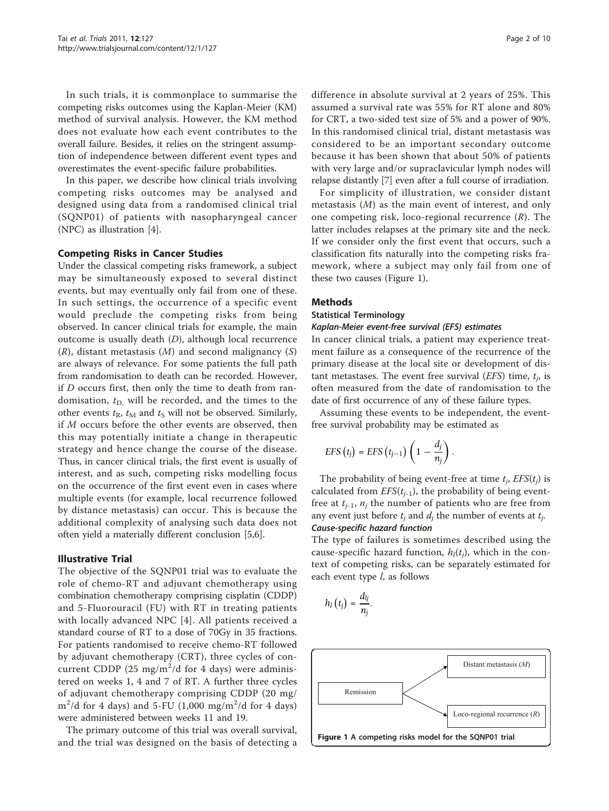In such trials, it is commonplace to summarise the competing risks outcomes using the Kaplan-Meier (KM) method of survival analysis. However, the KM method does not evaluate how each event contributes to the overall failure. Besides, it relies on the stringent assumption of independence between different event types and overestimates the event-specific failure probabilities.

In this paper, we describe how clinical trials involving competing risks outcomes may be analysed and designed using data from a randomised clinical trial (SQNP01) of patients with nasopharyngeal cancer (NPC) as illustration [[4\]](#page-8-0).

## Competing Risks in Cancer Studies

Under the classical competing risks framework, a subject may be simultaneously exposed to several distinct events, but may eventually only fail from one of these. In such settings, the occurrence of a specific event would preclude the competing risks from being observed. In cancer clinical trials for example, the main outcome is usually death  $(D)$ , although local recurrence  $(R)$ , distant metastasis  $(M)$  and second malignancy  $(S)$ are always of relevance. For some patients the full path from randomisation to death can be recorded. However, if D occurs first, then only the time to death from randomisation,  $t_D$ , will be recorded, and the times to the other events  $t_{\rm R}$ ,  $t_{\rm M}$  and  $t_{\rm S}$  will not be observed. Similarly, if M occurs before the other events are observed, then this may potentially initiate a change in therapeutic strategy and hence change the course of the disease. Thus, in cancer clinical trials, the first event is usually of interest, and as such, competing risks modelling focus on the occurrence of the first event even in cases where multiple events (for example, local recurrence followed by distance metastasis) can occur. This is because the additional complexity of analysing such data does not often yield a materially different conclusion [[5,6\]](#page-8-0).

# Illustrative Trial

The objective of the SQNP01 trial was to evaluate the role of chemo-RT and adjuvant chemotherapy using combination chemotherapy comprising cisplatin (CDDP) and 5-Fluorouracil (FU) with RT in treating patients with locally advanced NPC [[4\]](#page-8-0). All patients received a standard course of RT to a dose of 70Gy in 35 fractions. For patients randomised to receive chemo-RT followed by adjuvant chemotherapy (CRT), three cycles of concurrent CDDP (25 mg/m<sup>2</sup>/d for 4 days) were administered on weeks 1, 4 and 7 of RT. A further three cycles of adjuvant chemotherapy comprising CDDP (20 mg/  $m^2/d$  for 4 days) and 5-FU (1,000 mg/m<sup>2</sup>/d for 4 days) were administered between weeks 11 and 19.

The primary outcome of this trial was overall survival, and the trial was designed on the basis of detecting a

difference in absolute survival at 2 years of 25%. This assumed a survival rate was 55% for RT alone and 80% for CRT, a two-sided test size of 5% and a power of 90%. In this randomised clinical trial, distant metastasis was considered to be an important secondary outcome because it has been shown that about 50% of patients with very large and/or supraclavicular lymph nodes will relapse distantly [\[7\]](#page-8-0) even after a full course of irradiation.

For simplicity of illustration, we consider distant metastasis (M) as the main event of interest, and only one competing risk, loco-regional recurrence  $(R)$ . The latter includes relapses at the primary site and the neck. If we consider only the first event that occurs, such a classification fits naturally into the competing risks framework, where a subject may only fail from one of these two causes (Figure 1).

#### Methods

#### Statistical Terminology

#### Kaplan-Meier event-free survival (EFS) estimates

In cancer clinical trials, a patient may experience treatment failure as a consequence of the recurrence of the primary disease at the local site or development of distant metastases. The event free survival (*EFS*) time,  $t_i$ , is often measured from the date of randomisation to the date of first occurrence of any of these failure types.

Assuming these events to be independent, the eventfree survival probability may be estimated as

$$
EFS(t_j) = EFS(t_{j-1})\left(1-\frac{d_j}{n_j}\right).
$$

The probability of being event-free at time  $t_i$ ,  $EFS(t_i)$  is calculated from  $EFS(t_{i-1})$ , the probability of being eventfree at  $t_{i-1}$ ,  $n_i$ , the number of patients who are free from any event just before  $t_i$  and  $d_i$  the number of events at  $t_j$ . Cause-specific hazard function

The type of failures is sometimes described using the cause-specific hazard function,  $h_l(t_j)$ , which in the context of competing risks, can be separately estimated for each event type  $l$ , as follows

$$
h_l\left(t_j\right)=\frac{d_{lj}}{n_j}.
$$

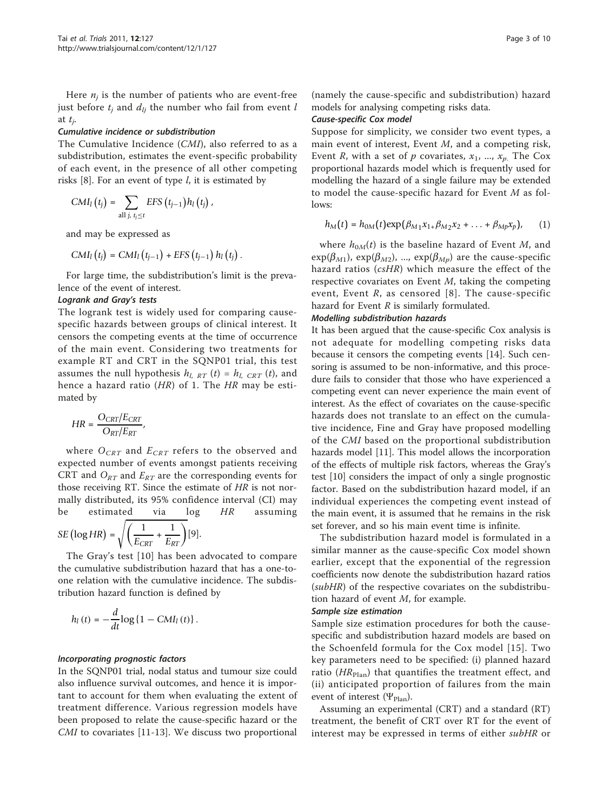Here  $n_i$  is the number of patients who are event-free just before  $t_j$  and  $d_{lj}$  the number who fail from event l at  $t_i$ .

#### Cumulative incidence or subdistribution

The Cumulative Incidence (CMI), also referred to as a subdistribution, estimates the event-specific probability of each event, in the presence of all other competing risks  $[8]$  $[8]$ . For an event of type  $l$ , it is estimated by

$$
CMI_{l}\left(t_{j}\right)=\sum_{\text{all }j,\text{ }t_{j}\leq t}EFS\left(t_{j-1}\right)h_{l}\left(t_{j}\right),
$$

and may be expressed as

$$
CMI_{l}(t_{j})=CMI_{l}(t_{j-1})+EFS(t_{j-1})h_{l}(t_{j}).
$$

For large time, the subdistribution's limit is the prevalence of the event of interest.

## Logrank and Gray's tests

The logrank test is widely used for comparing causespecific hazards between groups of clinical interest. It censors the competing events at the time of occurrence of the main event. Considering two treatments for example RT and CRT in the SQNP01 trial, this test assumes the null hypothesis  $h_{l, RT} (t) = h_{l, CRT} (t)$ , and hence a hazard ratio  $(HR)$  of 1. The HR may be estimated by

$$
HR = \frac{O_{CRT}/E_{CRT}}{O_{RT}/E_{RT}},
$$

where  $O_{CRT}$  and  $E_{CRT}$  refers to the observed and expected number of events amongst patients receiving CRT and  $O_{RT}$  and  $E_{RT}$  are the corresponding events for those receiving RT. Since the estimate of HR is not normally distributed, its 95% confidence interval (CI) may be estimated via log HR assuming  $SE(\log HR) = \sqrt{\frac{1}{E}}$  $\frac{1}{E_{CRT}} + \frac{1}{E_{RT}}$  [[9\]](#page-8-0).

The Gray's test [\[10\]](#page-8-0) has been advocated to compare the cumulative subdistribution hazard that has a one-toone relation with the cumulative incidence. The subdistribution hazard function is defined by

$$
h_{l}\left(t\right)=-\frac{d}{dt}\text{log}\left\{ 1-CMI_{l}\left(t\right)\right\} .
$$

#### Incorporating prognostic factors

In the SQNP01 trial, nodal status and tumour size could also influence survival outcomes, and hence it is important to account for them when evaluating the extent of treatment difference. Various regression models have been proposed to relate the cause-specific hazard or the CMI to covariates [[11-13](#page-8-0)]. We discuss two proportional

(namely the cause-specific and subdistribution) hazard models for analysing competing risks data.

# Cause-specific Cox model

Suppose for simplicity, we consider two event types, a main event of interest, Event M, and a competing risk, Event R, with a set of p covariates,  $x_1$ , ...,  $x_n$ . The Cox proportional hazards model which is frequently used for modelling the hazard of a single failure may be extended to model the cause-specific hazard for Event M as follows:

$$
h_M(t) = h_{0M}(t) \exp(\beta_{M1} x_{1+} \beta_{M2} x_2 + \dots + \beta_{Mp} x_p), \quad (1)
$$

where  $h_{0M}(t)$  is the baseline hazard of Event M, and  $exp(\beta_{M1})$ ,  $exp(\beta_{M2})$ , ...,  $exp(\beta_{Mp})$  are the cause-specific hazard ratios (csHR) which measure the effect of the respective covariates on Event M, taking the competing event, Event  $R$ , as censored [[8](#page-8-0)]. The cause-specific hazard for Event  $R$  is similarly formulated.

#### Modelling subdistribution hazards

It has been argued that the cause-specific Cox analysis is not adequate for modelling competing risks data because it censors the competing events [[14\]](#page-8-0). Such censoring is assumed to be non-informative, and this procedure fails to consider that those who have experienced a competing event can never experience the main event of interest. As the effect of covariates on the cause-specific hazards does not translate to an effect on the cumulative incidence, Fine and Gray have proposed modelling of the CMI based on the proportional subdistribution hazards model [[11](#page-8-0)]. This model allows the incorporation of the effects of multiple risk factors, whereas the Gray's test [[10](#page-8-0)] considers the impact of only a single prognostic factor. Based on the subdistribution hazard model, if an individual experiences the competing event instead of the main event, it is assumed that he remains in the risk set forever, and so his main event time is infinite.

The subdistribution hazard model is formulated in a similar manner as the cause-specific Cox model shown earlier, except that the exponential of the regression coefficients now denote the subdistribution hazard ratios (subHR) of the respective covariates on the subdistribution hazard of event  $M$ , for example.

#### Sample size estimation

Sample size estimation procedures for both the causespecific and subdistribution hazard models are based on the Schoenfeld formula for the Cox model [[15\]](#page-8-0). Two key parameters need to be specified: (i) planned hazard ratio ( $HR_{\text{Plan}}$ ) that quantifies the treatment effect, and (ii) anticipated proportion of failures from the main event of interest  $(\Psi_{\text{Plan}})$ .

Assuming an experimental (CRT) and a standard (RT) treatment, the benefit of CRT over RT for the event of interest may be expressed in terms of either subHR or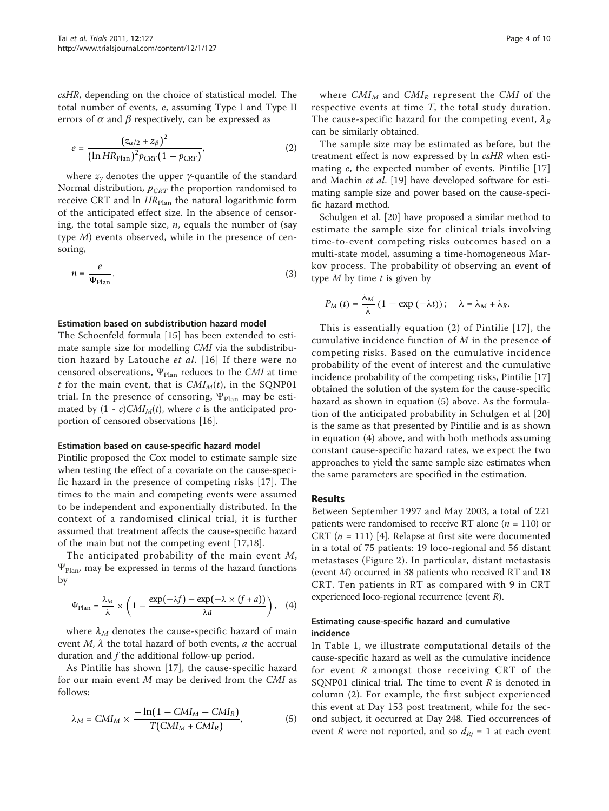csHR, depending on the choice of statistical model. The total number of events, e, assuming Type I and Type II errors of  $\alpha$  and  $\beta$  respectively, can be expressed as

$$
e = \frac{(z_{\alpha/2} + z_{\beta})^2}{(\ln HR_{\text{Plan}})^2 p_{\text{CRT}} (1 - p_{\text{CRT}})}'
$$
(2)

where  $z<sub>\gamma</sub>$  denotes the upper  $\gamma$ -quantile of the standard Normal distribution,  $p_{CRT}$  the proportion randomised to receive CRT and  $In$  HR<sub>Plan</sub> the natural logarithmic form of the anticipated effect size. In the absence of censoring, the total sample size,  $n$ , equals the number of (say type M) events observed, while in the presence of censoring,

$$
n = \frac{e}{\Psi_{\text{Plan}}}. \tag{3}
$$

#### Estimation based on subdistribution hazard model

The Schoenfeld formula [[15\]](#page-8-0) has been extended to estimate sample size for modelling CMI via the subdistribution hazard by Latouche et al. [[16\]](#page-8-0) If there were no censored observations,  $\Psi_{\text{Plan}}$  reduces to the CMI at time t for the main event, that is  $CMI_M(t)$ , in the SQNP01 trial. In the presence of censoring,  $\Psi_{\text{Plan}}$  may be estimated by  $(1 - c)CMI<sub>M</sub>(t)$ , where c is the anticipated proportion of censored observations [[16\]](#page-8-0).

#### Estimation based on cause-specific hazard model

Pintilie proposed the Cox model to estimate sample size when testing the effect of a covariate on the cause-specific hazard in the presence of competing risks [[17](#page-8-0)]. The times to the main and competing events were assumed to be independent and exponentially distributed. In the context of a randomised clinical trial, it is further assumed that treatment affects the cause-specific hazard of the main but not the competing event [[17](#page-8-0),[18](#page-8-0)].

The anticipated probability of the main event M,  $\Psi_{\text{Plan}}$ , may be expressed in terms of the hazard functions by

$$
\Psi_{\text{Plan}} = \frac{\lambda_M}{\lambda} \times \left(1 - \frac{\exp(-\lambda f) - \exp(-\lambda \times (f + a))}{\lambda a}\right), \quad (4)
$$

where  $\lambda_M$  denotes the cause-specific hazard of main event  $M$ ,  $\lambda$  the total hazard of both events,  $a$  the accrual duration and  $f$  the additional follow-up period.

As Pintilie has shown [\[17\]](#page-8-0), the cause-specific hazard for our main event M may be derived from the CMI as follows:

$$
\lambda_M = CMI_M \times \frac{-\ln(1 - CMI_M - CMI_R)}{T(CMI_M + CMI_R)},\tag{5}
$$

where  $CMI_M$  and  $CMI_R$  represent the CMI of the respective events at time  $T$ , the total study duration. The cause-specific hazard for the competing event,  $\lambda_R$ can be similarly obtained.

The sample size may be estimated as before, but the treatment effect is now expressed by ln csHR when estimating e, the expected number of events. Pintilie [[17](#page-8-0)] and Machin *et al.* [\[19](#page-8-0)] have developed software for estimating sample size and power based on the cause-specific hazard method.

Schulgen et al. [[20\]](#page-8-0) have proposed a similar method to estimate the sample size for clinical trials involving time-to-event competing risks outcomes based on a multi-state model, assuming a time-homogeneous Markov process. The probability of observing an event of type  $M$  by time  $t$  is given by

$$
P_M(t) = \frac{\lambda_M}{\lambda} \left( 1 - \exp(-\lambda t) \right); \quad \lambda = \lambda_M + \lambda_R.
$$

This is essentially equation (2) of Pintilie [[17](#page-8-0)], the cumulative incidence function of M in the presence of competing risks. Based on the cumulative incidence probability of the event of interest and the cumulative incidence probability of the competing risks, Pintilie [[17](#page-8-0)] obtained the solution of the system for the cause-specific hazard as shown in equation (5) above. As the formulation of the anticipated probability in Schulgen et al [\[20](#page-8-0)] is the same as that presented by Pintilie and is as shown in equation (4) above, and with both methods assuming constant cause-specific hazard rates, we expect the two approaches to yield the same sample size estimates when the same parameters are specified in the estimation.

#### Results

Between September 1997 and May 2003, a total of 221 patients were randomised to receive RT alone ( $n = 110$ ) or CRT ( $n = 111$ ) [\[4](#page-8-0)]. Relapse at first site were documented in a total of 75 patients: 19 loco-regional and 56 distant metastases (Figure [2](#page-4-0)). In particular, distant metastasis (event M) occurred in 38 patients who received RT and 18 CRT. Ten patients in RT as compared with 9 in CRT experienced loco-regional recurrence (event R).

## Estimating cause-specific hazard and cumulative incidence

In Table [1,](#page-4-0) we illustrate computational details of the cause-specific hazard as well as the cumulative incidence for event R amongst those receiving CRT of the SQNP01 clinical trial. The time to event  $R$  is denoted in column (2). For example, the first subject experienced this event at Day 153 post treatment, while for the second subject, it occurred at Day 248. Tied occurrences of event R were not reported, and so  $d_{Rj} = 1$  at each event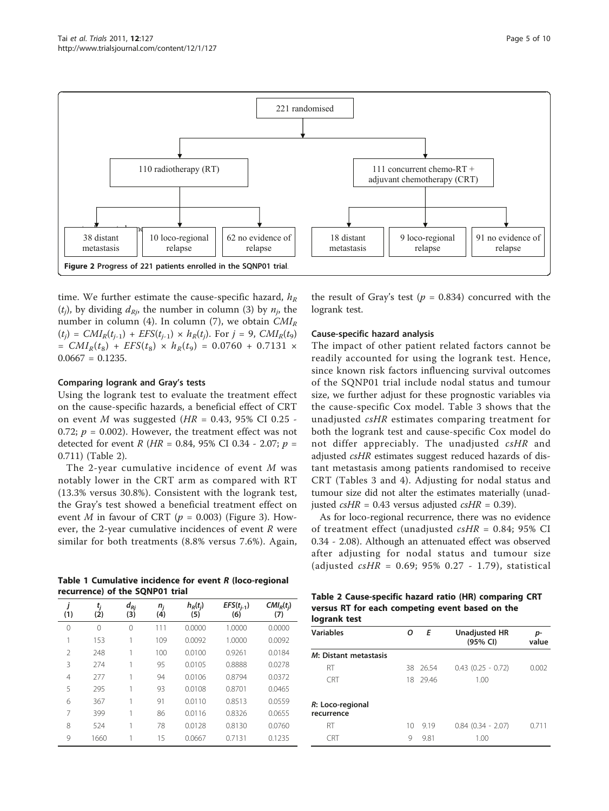<span id="page-4-0"></span>

time. We further estimate the cause-specific hazard,  $h_R$  $(t_i)$ , by dividing  $d_{R_i}$ , the number in column (3) by  $n_i$ , the number in column (4). In column (7), we obtain  $CMI_R$  $(t_i) = CMI_R(t_{i-1}) + EFS(t_{i-1}) \times h_R(t_i)$ . For  $j = 9$ ,  $CMI_R(t_9)$  $= CMI_R(t_8) + EFS(t_8) \times h_R(t_9) = 0.0760 + 0.7131 \times$  $0.0667 = 0.1235.$ 

#### Comparing logrank and Gray's tests

Using the logrank test to evaluate the treatment effect on the cause-specific hazards, a beneficial effect of CRT on event  $M$  was suggested ( $HR = 0.43$ , 95% CI 0.25 -0.72;  $p = 0.002$ ). However, the treatment effect was not detected for event R ( $HR = 0.84$ , 95% CI 0.34 - 2.07;  $p =$ 0.711) (Table 2).

The 2-year cumulative incidence of event M was notably lower in the CRT arm as compared with RT (13.3% versus 30.8%). Consistent with the logrank test, the Gray's test showed a beneficial treatment effect on event M in favour of CRT ( $p = 0.003$ ) (Figure [3](#page-5-0)). However, the 2-year cumulative incidences of event R were similar for both treatments (8.8% versus 7.6%). Again,

Table 1 Cumulative incidence for event R (loco-regional recurrence) of the SQNP01 trial

| (1)           | t <sub>i</sub><br>(2) | $d_{Ri}$<br>(3) | $n_i$<br>(4) | $h_R(t_i)$<br>(5) | $EFS(t_{i-1})$<br>(6) | $CMI_R(t_i)$<br>(7) |
|---------------|-----------------------|-----------------|--------------|-------------------|-----------------------|---------------------|
| $\Omega$      | $\Omega$              | 0               | 111          | 0.0000            | 1.0000                | 0.0000              |
| 1             | 153                   | 1               | 109          | 0.0092            | 1.0000                | 0.0092              |
| $\mathcal{P}$ | 248                   | 1               | 100          | 0.0100            | 0.9261                | 0.0184              |
| 3             | 274                   | 1               | 95           | 0.0105            | 0.8888                | 0.0278              |
| 4             | 277                   | 1               | 94           | 0.0106            | 0.8794                | 0.0372              |
| 5             | 295                   | 1               | 93           | 0.0108            | 0.8701                | 0.0465              |
| 6             | 367                   | 1               | 91           | 0.0110            | 0.8513                | 0.0559              |
| 7             | 399                   | 1               | 86           | 0.0116            | 0.8326                | 0.0655              |
| 8             | 524                   | 1               | 78           | 0.0128            | 0.8130                | 0.0760              |
| 9             | 1660                  |                 | 15           | 0.0667            | 0.7131                | 0.1235              |

the result of Gray's test ( $p = 0.834$ ) concurred with the logrank test.

#### Cause-specific hazard analysis

The impact of other patient related factors cannot be readily accounted for using the logrank test. Hence, since known risk factors influencing survival outcomes of the SQNP01 trial include nodal status and tumour size, we further adjust for these prognostic variables via the cause-specific Cox model. Table [3](#page-6-0) shows that the unadjusted csHR estimates comparing treatment for both the logrank test and cause-specific Cox model do not differ appreciably. The unadjusted csHR and adjusted csHR estimates suggest reduced hazards of distant metastasis among patients randomised to receive CRT (Tables [3](#page-6-0) and [4](#page-6-0)). Adjusting for nodal status and tumour size did not alter the estimates materially (unadjusted  $csHR = 0.43$  versus adjusted  $csHR = 0.39$ ).

As for loco-regional recurrence, there was no evidence of treatment effect (unadjusted  $csHR = 0.84$ ; 95% CI 0.34 - 2.08). Although an attenuated effect was observed after adjusting for nodal status and tumour size (adjusted  $csHR = 0.69; 95\% 0.27 - 1.79$ ), statistical

| Table 2 Cause-specific hazard ratio (HR) comparing CRT |
|--------------------------------------------------------|
| versus RT for each competing event based on the        |
| logrank test                                           |

| Variables                      | ο  | Е        | <b>Unadjusted HR</b><br>(95% CI) | p-<br>value |
|--------------------------------|----|----------|----------------------------------|-------------|
| M: Distant metastasis          |    |          |                                  |             |
| RT                             |    | 38 26.54 | $0.43$ $(0.25 - 0.72)$           | 0.002       |
| <b>CRT</b>                     |    | 18 29.46 | 1.00                             |             |
| R: Loco-regional<br>recurrence |    |          |                                  |             |
| <b>RT</b>                      | 10 | 9.19     | $0.84$ $(0.34 - 2.07)$           | 0.711       |
| <b>CRT</b>                     | 9  | 9.81     | 1.00                             |             |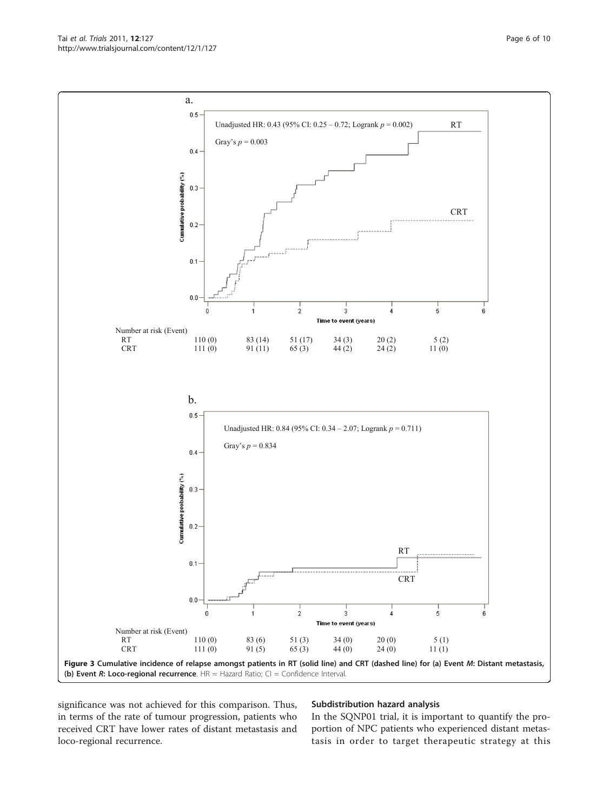<span id="page-5-0"></span>

significance was not achieved for this comparison. Thus, in terms of the rate of tumour progression, patients who received CRT have lower rates of distant metastasis and loco-regional recurrence.

# Subdistribution hazard analysis

In the SQNP01 trial, it is important to quantify the proportion of NPC patients who experienced distant metastasis in order to target therapeutic strategy at this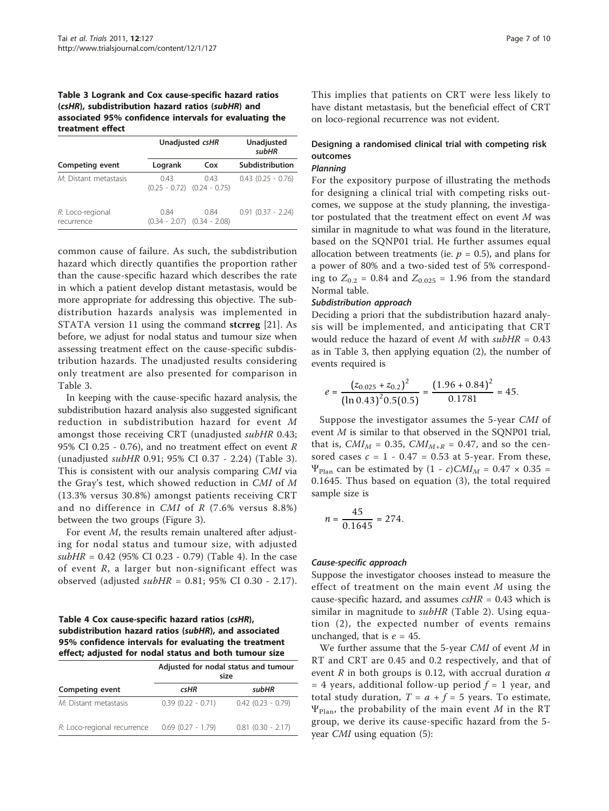## <span id="page-6-0"></span>Table 3 Logrank and Cox cause-specific hazard ratios (csHR), subdistribution hazard ratios (subHR) and associated 95% confidence intervals for evaluating the treatment effect

|                                | Unadjusted csHR | <b>Unadjusted</b><br>subHR              |                        |  |
|--------------------------------|-----------------|-----------------------------------------|------------------------|--|
| <b>Competing event</b>         | Logrank         | Cox                                     | Subdistribution        |  |
| M: Distant metastasis          | 043             | 0.43<br>$(0.25 - 0.72)$ $(0.24 - 0.75)$ | $0.43$ $(0.25 - 0.76)$ |  |
| R: Loco-regional<br>recurrence | 0.84            | 0.84<br>$(0.34 - 2.07)$ $(0.34 - 2.08)$ | $0.91$ $(0.37 - 2.24)$ |  |

common cause of failure. As such, the subdistribution hazard which directly quantifies the proportion rather than the cause-specific hazard which describes the rate in which a patient develop distant metastasis, would be more appropriate for addressing this objective. The subdistribution hazards analysis was implemented in STATA version 11 using the command stcrreg [\[21\]](#page-8-0). As before, we adjust for nodal status and tumour size when assessing treatment effect on the cause-specific subdistribution hazards. The unadjusted results considering only treatment are also presented for comparison in Table 3.

In keeping with the cause-specific hazard analysis, the subdistribution hazard analysis also suggested significant reduction in subdistribution hazard for event M amongst those receiving CRT (unadjusted *subHR* 0.43; 95% CI 0.25 - 0.76), and no treatment effect on event R (unadjusted subHR 0.91; 95% CI 0.37 - 2.24) (Table 3). This is consistent with our analysis comparing CMI via the Gray's test, which showed reduction in CMI of M (13.3% versus 30.8%) amongst patients receiving CRT and no difference in CMI of R (7.6% versus 8.8%) between the two groups (Figure [3\)](#page-5-0).

For event M, the results remain unaltered after adjusting for nodal status and tumour size, with adjusted  $subHR = 0.42$  (95% CI 0.23 - 0.79) (Table 4). In the case of event  $R$ , a larger but non-significant effect was observed (adjusted  $subHR = 0.81$ ; 95% CI 0.30 - 2.17).

Table 4 Cox cause-specific hazard ratios (csHR), subdistribution hazard ratios (subHR), and associated 95% confidence intervals for evaluating the treatment effect; adjusted for nodal status and both tumour size

|                             | Adjusted for nodal status and tumour<br>size |                        |  |  |  |
|-----------------------------|----------------------------------------------|------------------------|--|--|--|
| <b>Competing event</b>      | csHR                                         | subHR                  |  |  |  |
| M: Distant metastasis       | $0.39(0.22 - 0.71)$                          | $0.42$ (0.23 - 0.79)   |  |  |  |
| R: Loco-regional recurrence | $0.69$ (0.27 - 1.79)                         | $0.81$ $(0.30 - 2.17)$ |  |  |  |

This implies that patients on CRT were less likely to have distant metastasis, but the beneficial effect of CRT on loco-regional recurrence was not evident.

# Designing a randomised clinical trial with competing risk outcomes

#### Planning

For the expository purpose of illustrating the methods for designing a clinical trial with competing risks outcomes, we suppose at the study planning, the investigator postulated that the treatment effect on event  $M$  was similar in magnitude to what was found in the literature, based on the SQNP01 trial. He further assumes equal allocation between treatments (ie.  $p = 0.5$ ), and plans for a power of 80% and a two-sided test of 5% corresponding to  $Z_{0.2} = 0.84$  and  $Z_{0.025} = 1.96$  from the standard Normal table.

## Subdistribution approach

Deciding a priori that the subdistribution hazard analysis will be implemented, and anticipating that CRT would reduce the hazard of event  $M$  with  $subHR = 0.43$ as in Table 3, then applying equation (2), the number of events required is

$$
e = \frac{(z_{0.025} + z_{0.2})^2}{(\ln 0.43)^2 0.5(0.5)} = \frac{(1.96 + 0.84)^2}{0.1781} = 45.
$$

Suppose the investigator assumes the 5-year CMI of event M is similar to that observed in the SQNP01 trial, that is,  $CMI_M = 0.35$ ,  $CMI_{M+R} = 0.47$ , and so the censored cases  $c = 1 - 0.47 = 0.53$  at 5-year. From these,  $\Psi_{\text{Plan}}$  can be estimated by  $(1 - c)CMI_M = 0.47 \times 0.35 =$ 0.1645. Thus based on equation (3), the total required sample size is

$$
n = \frac{45}{0.1645} = 274.
$$

#### Cause-specific approach

Suppose the investigator chooses instead to measure the effect of treatment on the main event M using the cause-specific hazard, and assumes  $csHR = 0.43$  which is similar in magnitude to  $subHR$  (Table [2\)](#page-4-0). Using equation (2), the expected number of events remains unchanged, that is  $e = 45$ .

We further assume that the 5-year CMI of event M in RT and CRT are 0.45 and 0.2 respectively, and that of event  $R$  in both groups is 0.12, with accrual duration  $a$  $= 4$  years, additional follow-up period  $f = 1$  year, and total study duration,  $T = a + f = 5$  years. To estimate,  $\Psi_{\text{Plan}}$ , the probability of the main event M in the RT group, we derive its cause-specific hazard from the 5 year CMI using equation (5):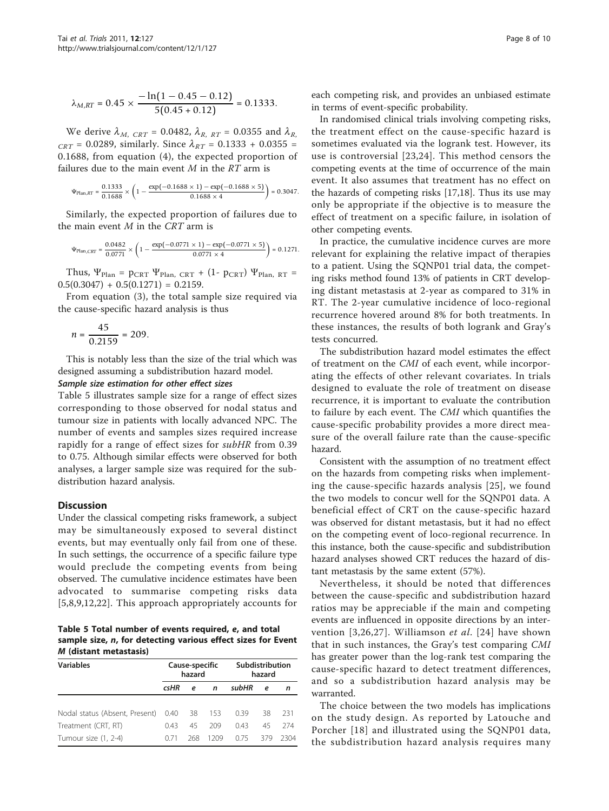$$
\lambda_{M,RT} = 0.45 \times \frac{-\ln(1 - 0.45 - 0.12)}{5(0.45 + 0.12)} = 0.1333.
$$

We derive  $\lambda_{M, \, CRT} = 0.0482$ ,  $\lambda_{R, \, RT} = 0.0355$  and  $\lambda_{R, R}$  $_{CRT}$  = 0.0289, similarly. Since  $\lambda_{RT}$  = 0.1333 + 0.0355 = 0.1688, from equation (4), the expected proportion of failures due to the main event  $M$  in the  $RT$  arm is

$$
\Psi_{\text{Plan,RT}} = \frac{0.1333}{0.1688} \times \left(1 - \frac{\exp(-0.1688 \times 1) - \exp(-0.1688 \times 5)}{0.1688 \times 4}\right) = 0.3047.
$$

Similarly, the expected proportion of failures due to the main event M in the CRT arm is

$$
\Psi_{\text{Plan,CRT}} = \frac{0.0482}{0.0771} \times \left(1 - \frac{\exp(-0.0771 \times 1) - \exp(-0.0771 \times 5)}{0.0771 \times 4}\right) = 0.1271.
$$

Thus,  $\Psi_{\text{Plan}} = p_{\text{CRT}} \Psi_{\text{Plan, CRT}} + (1-p_{\text{CRT}}) \Psi_{\text{Plan, RT}} =$  $0.5(0.3047) + 0.5(0.1271) = 0.2159.$ 

From equation (3), the total sample size required via the cause-specific hazard analysis is thus

$$
n = \frac{45}{0.2159} = 209.
$$

This is notably less than the size of the trial which was designed assuming a subdistribution hazard model.

# Sample size estimation for other effect sizes

Table 5 illustrates sample size for a range of effect sizes corresponding to those observed for nodal status and tumour size in patients with locally advanced NPC. The number of events and samples sizes required increase rapidly for a range of effect sizes for *subHR* from 0.39 to 0.75. Although similar effects were observed for both analyses, a larger sample size was required for the subdistribution hazard analysis.

#### **Discussion**

Under the classical competing risks framework, a subject may be simultaneously exposed to several distinct events, but may eventually only fail from one of these. In such settings, the occurrence of a specific failure type would preclude the competing events from being observed. The cumulative incidence estimates have been advocated to summarise competing risks data [[5,8](#page-8-0),[9,12](#page-8-0),[22\]](#page-8-0). This approach appropriately accounts for

Table 5 Total number of events required, e, and total sample size, n, for detecting various effect sizes for Event M (distant metastasis)

| <b>Variables</b>               | Cause-specific<br>hazard |     |      | Subdistribution<br>hazard |     |      |
|--------------------------------|--------------------------|-----|------|---------------------------|-----|------|
|                                | csHR                     | e   | n    | subHR                     | e   | n    |
| Nodal status (Absent, Present) | 0.40                     | 38  | 153  | 0.39                      | 38  | 231  |
| Treatment (CRT, RT)            | 043                      | 45  | 209  | 043                       | 45  | 274  |
| Tumour size (1, 2-4)           | $()$ / 1                 | 268 | 1209 | 0.75                      | 379 | 2304 |

each competing risk, and provides an unbiased estimate in terms of event-specific probability.

In randomised clinical trials involving competing risks, the treatment effect on the cause-specific hazard is sometimes evaluated via the logrank test. However, its use is controversial [[23](#page-8-0),[24\]](#page-8-0). This method censors the competing events at the time of occurrence of the main event. It also assumes that treatment has no effect on the hazards of competing risks [[17](#page-8-0),[18](#page-8-0)]. Thus its use may only be appropriate if the objective is to measure the effect of treatment on a specific failure, in isolation of other competing events.

In practice, the cumulative incidence curves are more relevant for explaining the relative impact of therapies to a patient. Using the SQNP01 trial data, the competing risks method found 13% of patients in CRT developing distant metastasis at 2-year as compared to 31% in RT. The 2-year cumulative incidence of loco-regional recurrence hovered around 8% for both treatments. In these instances, the results of both logrank and Gray's tests concurred.

The subdistribution hazard model estimates the effect of treatment on the CMI of each event, while incorporating the effects of other relevant covariates. In trials designed to evaluate the role of treatment on disease recurrence, it is important to evaluate the contribution to failure by each event. The CMI which quantifies the cause-specific probability provides a more direct measure of the overall failure rate than the cause-specific hazard.

Consistent with the assumption of no treatment effect on the hazards from competing risks when implementing the cause-specific hazards analysis [[25](#page-8-0)], we found the two models to concur well for the SQNP01 data. A beneficial effect of CRT on the cause-specific hazard was observed for distant metastasis, but it had no effect on the competing event of loco-regional recurrence. In this instance, both the cause-specific and subdistribution hazard analyses showed CRT reduces the hazard of distant metastasis by the same extent (57%).

Nevertheless, it should be noted that differences between the cause-specific and subdistribution hazard ratios may be appreciable if the main and competing events are influenced in opposite directions by an intervention [[3](#page-8-0),[26](#page-8-0)[,27](#page-9-0)]. Williamson et al. [[24](#page-8-0)] have shown that in such instances, the Gray's test comparing CMI has greater power than the log-rank test comparing the cause-specific hazard to detect treatment differences, and so a subdistribution hazard analysis may be warranted.

The choice between the two models has implications on the study design. As reported by Latouche and Porcher [\[18\]](#page-8-0) and illustrated using the SQNP01 data, the subdistribution hazard analysis requires many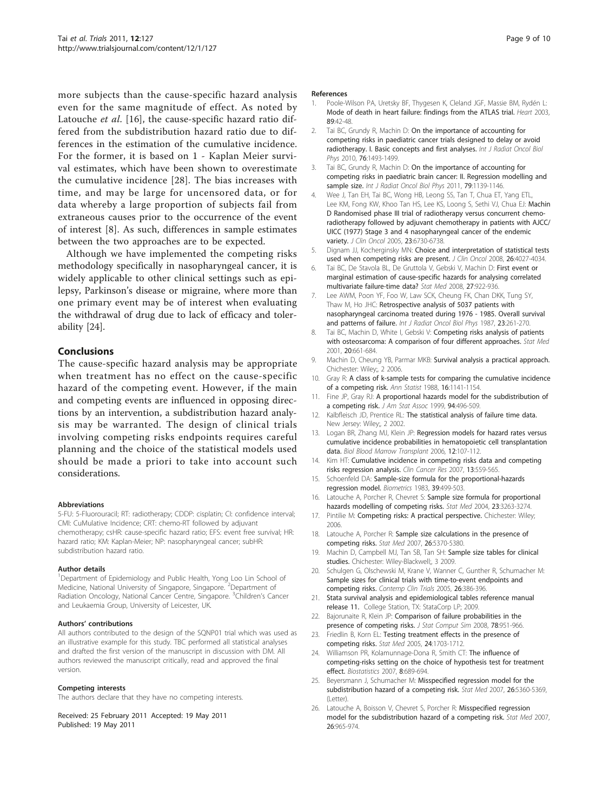<span id="page-8-0"></span>more subjects than the cause-specific hazard analysis even for the same magnitude of effect. As noted by Latouche et al. [16], the cause-specific hazard ratio differed from the subdistribution hazard ratio due to differences in the estimation of the cumulative incidence. For the former, it is based on 1 - Kaplan Meier survival estimates, which have been shown to overestimate the cumulative incidence [[28\]](#page-9-0). The bias increases with time, and may be large for uncensored data, or for data whereby a large proportion of subjects fail from extraneous causes prior to the occurrence of the event of interest [8]. As such, differences in sample estimates between the two approaches are to be expected.

Although we have implemented the competing risks methodology specifically in nasopharyngeal cancer, it is widely applicable to other clinical settings such as epilepsy, Parkinson's disease or migraine, where more than one primary event may be of interest when evaluating the withdrawal of drug due to lack of efficacy and tolerability [24].

#### **Conclusions**

The cause-specific hazard analysis may be appropriate when treatment has no effect on the cause-specific hazard of the competing event. However, if the main and competing events are influenced in opposing directions by an intervention, a subdistribution hazard analysis may be warranted. The design of clinical trials involving competing risks endpoints requires careful planning and the choice of the statistical models used should be made a priori to take into account such considerations.

#### Abbreviations

5-FU: 5-Fluorouracil; RT: radiotherapy; CDDP: cisplatin; CI: confidence interval; CMI: CuMulative Incidence; CRT: chemo-RT followed by adjuvant chemotherapy; csHR: cause-specific hazard ratio; EFS: event free survival; HR: hazard ratio; KM: Kaplan-Meier; NP: nasopharyngeal cancer; subHR: subdistribution hazard ratio.

#### Author details

<sup>1</sup>Department of Epidemiology and Public Health, Yong Loo Lin School of Medicine, National University of Singapore, Singapore. <sup>2</sup>Department of Radiation Oncology, National Cancer Centre, Singapore. <sup>3</sup>Children's Cancer and Leukaemia Group, University of Leicester, UK.

#### Authors' contributions

All authors contributed to the design of the SQNP01 trial which was used as an illustrative example for this study. TBC performed all statistical analyses and drafted the first version of the manuscript in discussion with DM. All authors reviewed the manuscript critically, read and approved the final version.

#### Competing interests

The authors declare that they have no competing interests.

Received: 25 February 2011 Accepted: 19 May 2011 Published: 19 May 2011

#### References

- 1. Poole-Wilson PA, Uretsky BF, Thygesen K, Cleland JGF, Massie BM, Rydén L: [Mode of death in heart failure: findings from the ATLAS trial.](http://www.ncbi.nlm.nih.gov/pubmed/12482789?dopt=Abstract) Heart 2003, 89:42-48.
- 2. Tai BC, Grundy R, Machin D: [On the importance of accounting for](http://www.ncbi.nlm.nih.gov/pubmed/19577860?dopt=Abstract) [competing risks in paediatric cancer trials designed to delay or avoid](http://www.ncbi.nlm.nih.gov/pubmed/19577860?dopt=Abstract) [radiotherapy. I. Basic concepts and first analyses.](http://www.ncbi.nlm.nih.gov/pubmed/19577860?dopt=Abstract) Int J Radiat Oncol Biol Phys 2010, 76:1493-1499.
- 3. Tai BC, Grundy R, Machin D: [On the importance of accounting for](http://www.ncbi.nlm.nih.gov/pubmed/20472355?dopt=Abstract) [competing risks in paediatric brain cancer: II. Regression modelling and](http://www.ncbi.nlm.nih.gov/pubmed/20472355?dopt=Abstract) [sample size.](http://www.ncbi.nlm.nih.gov/pubmed/20472355?dopt=Abstract) Int J Radiat Oncol Biol Phys 2011, 79:1139-1146.
- 4. Wee J, Tan EH, Tai BC, Wong HB, Leong SS, Tan T, Chua ET, Yang ETL, Lee KM, Fong KW, Khoo Tan HS, Lee KS, Loong S, Sethi VJ, Chua EJ: [Machin](http://www.ncbi.nlm.nih.gov/pubmed/16170180?dopt=Abstract) [D Randomised phase III trial of radiotherapy versus concurrent chemo](http://www.ncbi.nlm.nih.gov/pubmed/16170180?dopt=Abstract)[radiotherapy followed by adjuvant chemotherapy in patients with AJCC/](http://www.ncbi.nlm.nih.gov/pubmed/16170180?dopt=Abstract) [UICC \(1977\) Stage 3 and 4 nasopharyngeal cancer of the endemic](http://www.ncbi.nlm.nih.gov/pubmed/16170180?dopt=Abstract) [variety.](http://www.ncbi.nlm.nih.gov/pubmed/16170180?dopt=Abstract) J Clin Oncol 2005, 23:6730-6738.
- 5. Dignam JJ, Kocherginsky MN: [Choice and interpretation of statistical tests](http://www.ncbi.nlm.nih.gov/pubmed/18711194?dopt=Abstract) [used when competing risks are present.](http://www.ncbi.nlm.nih.gov/pubmed/18711194?dopt=Abstract) J Clin Oncol 2008, 26:4027-4034.
- 6. Tai BC, De Stavola BL, De Gruttola V, Gebski V, Machin D: [First event or](http://www.ncbi.nlm.nih.gov/pubmed/17551931?dopt=Abstract) [marginal estimation of cause-specific hazards for analysing correlated](http://www.ncbi.nlm.nih.gov/pubmed/17551931?dopt=Abstract) [multivariate failure-time data?](http://www.ncbi.nlm.nih.gov/pubmed/17551931?dopt=Abstract) Stat Med 2008, 27:922-936.
- 7. Lee AWM, Poon YF, Foo W, Law SCK, Cheung FK, Chan DKK, Tung SY, Thaw M, Ho JHC: Retrospective analysis of 5037 patients with nasopharyngeal carcinoma treated during 1976 - 1985. Overall survival and patterns of failure. Int J Radiat Oncol Biol Phys 1987, 23:261-270.
- 8. Tai BC, Machin D, White I, Gebski V: [Competing risks analysis of patients](http://www.ncbi.nlm.nih.gov/pubmed/11241570?dopt=Abstract) [with osteosarcoma: A comparison of four different approaches.](http://www.ncbi.nlm.nih.gov/pubmed/11241570?dopt=Abstract) Stat Med 2001, 20:661-684.
- 9. Machin D, Cheung YB, Parmar MKB: Survival analysis a practical approach. Chichester: Wiley;, 2 2006.
- 10. Gray R: A class of k-sample tests for comparing the cumulative incidence of a competing risk. Ann Statist 1988, 16:1141-1154.
- 11. Fine JP, Gray RJ: A proportional hazards model for the subdistribution of a competing risk. J Am Stat Assoc 1999, 94:496-509.
- 12. Kalbfleisch JD, Prentice RL: The statistical analysis of failure time data. New Jersey: Wiley;, 2 2002.
- 13. Logan BR, Zhang MJ, Klein JP: [Regression models for hazard rates versus](http://www.ncbi.nlm.nih.gov/pubmed/16399594?dopt=Abstract) [cumulative incidence probabilities in hematopoietic cell transplantation](http://www.ncbi.nlm.nih.gov/pubmed/16399594?dopt=Abstract) [data.](http://www.ncbi.nlm.nih.gov/pubmed/16399594?dopt=Abstract) Biol Blood Marrow Transplant 2006, 12:107-112.
- 14. Kim HT: [Cumulative incidence in competing risks data and competing](http://www.ncbi.nlm.nih.gov/pubmed/17255278?dopt=Abstract) [risks regression analysis.](http://www.ncbi.nlm.nih.gov/pubmed/17255278?dopt=Abstract) Clin Cancer Res 2007, 13:559-565.
- 15. Schoenfeld DA: [Sample-size formula for the proportional-hazards](http://www.ncbi.nlm.nih.gov/pubmed/6354290?dopt=Abstract) [regression model.](http://www.ncbi.nlm.nih.gov/pubmed/6354290?dopt=Abstract) Biometrics 1983, 39:499-503.
- 16. Latouche A, Porcher R, Chevret S: Sample [size formula for proportional](http://www.ncbi.nlm.nih.gov/pubmed/15490425?dopt=Abstract) [hazards modelling of competing risks.](http://www.ncbi.nlm.nih.gov/pubmed/15490425?dopt=Abstract) Stat Med 2004, 23:3263-3274.
- 17. Pintilie M: Competing risks: A practical perspective. Chichester: Wiley; 2006.
- 18. Latouche A, Porcher R: [Sample size calculations in the presence of](http://www.ncbi.nlm.nih.gov/pubmed/17955563?dopt=Abstract) [competing risks.](http://www.ncbi.nlm.nih.gov/pubmed/17955563?dopt=Abstract) Stat Med 2007, 26:5370-5380.
- 19. Machin D, Campbell MJ, Tan SB, Tan SH: Sample size tables for clinical studies. Chichester: Wiley-Blackwell;, 3 2009.
- 20. Schulgen G, Olschewski M, Krane V, Wanner C, Gunther R, Schumacher M: [Sample sizes for clinical trials with time-to-event endpoints and](http://www.ncbi.nlm.nih.gov/pubmed/15911472?dopt=Abstract) [competing risks.](http://www.ncbi.nlm.nih.gov/pubmed/15911472?dopt=Abstract) Contemp Clin Trials 2005, 26:386-396.
- 21. Stata survival analysis and epidemiological tables reference manual release 11. College Station, TX: StataCorp LP; 2009.
- 22. Bajorunaite R, Klein JP: Comparison of failure probabilities in the presence of competing risks. J Stat Comput Sim 2008, 78:951-966.
- 23. Friedlin B, Korn EL: [Testing treatment effects in the presence of](http://www.ncbi.nlm.nih.gov/pubmed/15706579?dopt=Abstract) [competing risks.](http://www.ncbi.nlm.nih.gov/pubmed/15706579?dopt=Abstract) Stat Med 2005, 24:1703-1712.
- 24. Williamson PR, Kolamunnage-Dona R, Smith CT: [The influence of](http://www.ncbi.nlm.nih.gov/pubmed/17151088?dopt=Abstract) [competing-risks setting on the choice of hypothesis test for treatment](http://www.ncbi.nlm.nih.gov/pubmed/17151088?dopt=Abstract) [effect.](http://www.ncbi.nlm.nih.gov/pubmed/17151088?dopt=Abstract) Biostatistics 2007, 8:689-694.
- 25. Beyersmann J, Schumacher M: Misspecified regression model for the subdistribution hazard of a competing risk. Stat Med 2007, 26:5360-5369, (Letter).
- 26. Latouche A, Boisson V, Chevret S, Porcher R: Misspecified regression model for the subdistribution hazard of a competing risk. Stat Med 2007, 26:965-974.